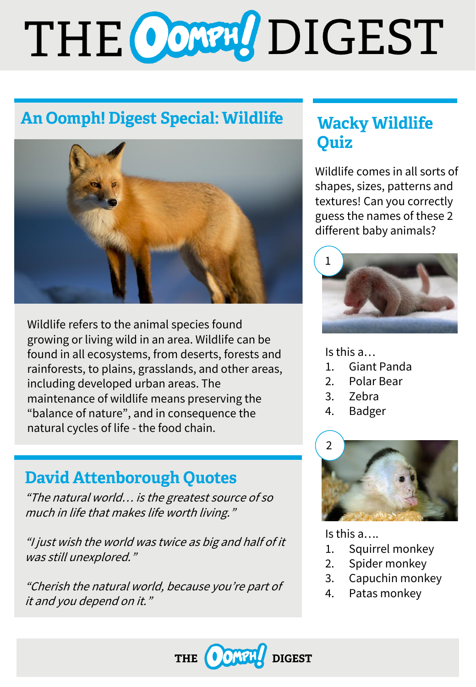# THE CONN DIGEST

# **An Oomph! Digest Special: Wildlife**



Wildlife refers to the animal species found growing or living wild in an area. Wildlife can be found in all ecosystems, from deserts, forests and rainforests, to plains, grasslands, and other areas, including developed urban areas. The maintenance of wildlife means preserving the "balance of nature", and in consequence the natural cycles of life - the food chain.

## **David Attenborough Quotes**

"The natural world… is the greatest source of so much in life that makes life worth living."

"I just wish the world was twice as big and half of it was still unexplored."

"Cherish the natural world, because you're part of it and you depend on it."

## **Wacky Wildlife Ouiz**

Wildlife comes in all sorts of shapes, sizes, patterns and textures! Can you correctly guess the names of these 2 different baby animals?



Is this a…

- 1. Giant Panda
- 2. Polar Bear
- 3. Zebra
- 4. Badger



Is this a….

- 1. Squirrel monkey
- 2. Spider monkey
- 3. Capuchin monkey
- 4. Patas monkey

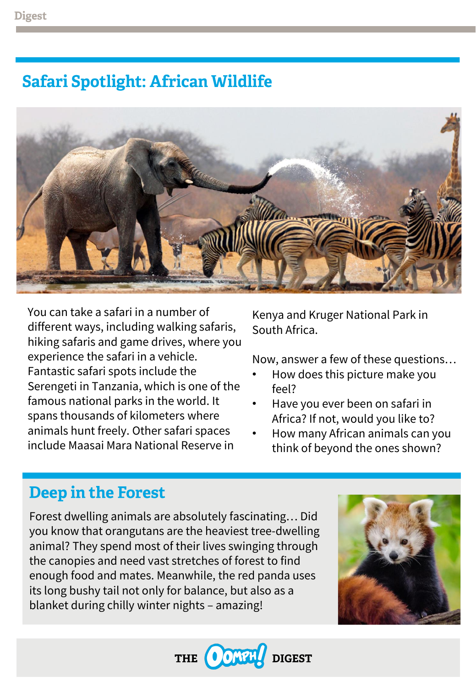## **Safari Spotlight: African Wildlife**



You can take a safari in a number of different ways, including walking safaris, hiking safaris and game drives, where you experience the safari in a vehicle. Fantastic safari spots include the Serengeti in Tanzania, which is one of the famous national parks in the world. It spans thousands of kilometers where animals hunt freely. Other safari spaces include Maasai Mara National Reserve in

Kenya and Kruger National Park in South Africa.

Now, answer a few of these questions…

- How does this picture make you feel?
- Have you ever been on safari in Africa? If not, would you like to?
- How many African animals can you think of beyond the ones shown?

### **Deep in the Forest**

Forest dwelling animals are absolutely fascinating… Did you know that orangutans are the heaviest tree-dwelling animal? They spend most of their lives swinging through the canopies and need vast stretches of forest to find enough food and mates. Meanwhile, the red panda uses its long bushy tail not only for balance, but also as a blanket during chilly winter nights – amazing!